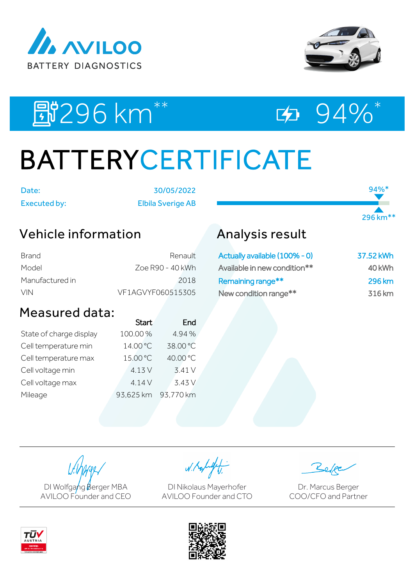



94%\*

296 km\*\*

# E#296 km<sup>\*\*</sup> 대 24%\*

# BATTERYCERTIFICATE

Date: 30/05/2022 Executed by: Elbila Sverige AB

### Vehicle information

| Brand           | Renault           |
|-----------------|-------------------|
| Model           | Zoe R90 - 40 kWh  |
| Manufactured in | 2018              |
| <b>VIN</b>      | VE1AGVYF060515305 |

### Measured data:

|                         | <b>Start</b> | End       |
|-------------------------|--------------|-----------|
| State of charge display | 100.00%      | 4.94%     |
| Cell temperature min    | 14.00 °C     | 38.00 °C  |
| Cell temperature max    | 15.00 °C     | 40.00 °C  |
| Cell voltage min        | 4.13 V       | 3.41 V    |
| Cell voltage max        | 4.14V        | 3.43 V    |
| Mileage                 | 93,625 km    | 93,770 km |
|                         |              |           |

## Analysis result

| Actually available (100% - 0) | 37.52 kWh     |
|-------------------------------|---------------|
| Available in new condition**  | 40 kWh        |
| Remaining range**             | <b>296 km</b> |
| New condition range**         | 316 km        |

DI Wolfgang Berger MBA AVILOO Founder and CEO

W. Kolight

DI Nikolaus Mayerhofer AVILOO Founder and CTO

Dr. Marcus Berger COO/CFO and Partner